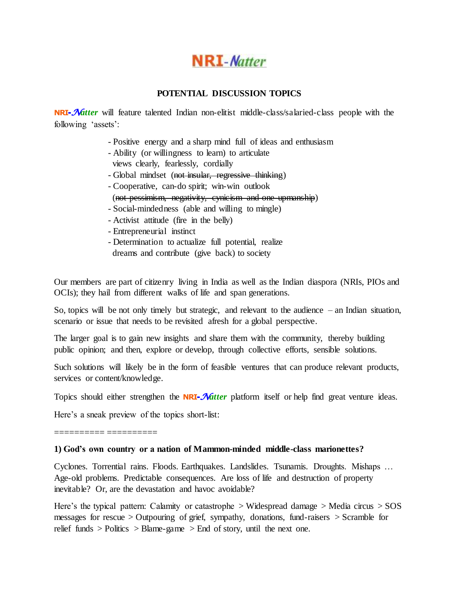

### **POTENTIAL DISCUSSION TOPICS**

**NRI**-*Natter* will feature talented Indian non-elitist middle-class/salaried-class people with the following 'assets':

- Positive energy and a sharp mind full of ideas and enthusiasm
- Ability (or willingness to learn) to articulate views clearly, fearlessly, cordially
- Global mindset (not insular, regressive thinking)
- Cooperative, can-do spirit; win-win outlook (not pessimism, negativity, cynicism and one-upmanship)
- Social-mindedness (able and willing to mingle)
- Activist attitude (fire in the belly)
- Entrepreneurial instinct
- Determination to actualize full potential, realize dreams and contribute (give back) to society

Our members are part of citizenry living in India as well as the Indian diaspora (NRIs, PIOs and OCIs); they hail from different walks of life and span generations.

So, topics will be not only timely but strategic, and relevant to the audience – an Indian situation, scenario or issue that needs to be revisited afresh for a global perspective.

The larger goal is to gain new insights and share them with the community, thereby building public opinion; and then, explore or develop, through collective efforts, sensible solutions.

Such solutions will likely be in the form of feasible ventures that can produce relevant products, services or content/knowledge.

Topics should either strengthen the **NRI**-*Natter* platform itself or help find great venture ideas.

Here's a sneak preview of the topics short-list:

========== ==========

#### **1) God's own country or a nation of Mammon-minded middle-class marionettes?**

Cyclones. Torrential rains. Floods. Earthquakes. Landslides. Tsunamis. Droughts. Mishaps … Age-old problems. Predictable consequences. Are loss of life and destruction of property inevitable? Or, are the devastation and havoc avoidable?

Here's the typical pattern: Calamity or catastrophe  $>$  Widespread damage  $>$  Media circus  $>$  SOS messages for rescue > Outpouring of grief, sympathy, donations, fund-raisers > Scramble for relief funds  $>$  Politics  $>$  Blame-game  $>$  End of story, until the next one.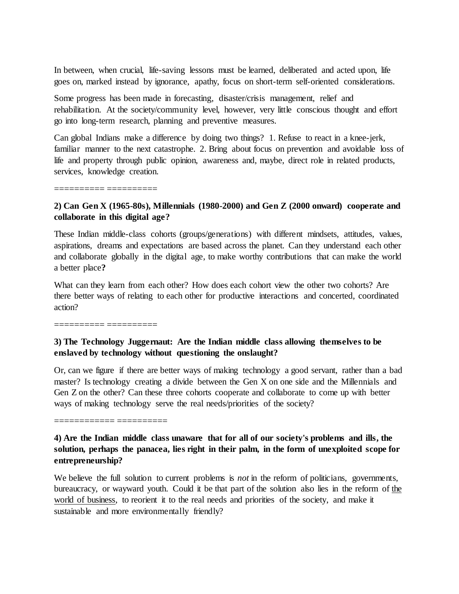In between, when crucial, life-saving lessons must be learned, deliberated and acted upon, life goes on, marked instead by ignorance, apathy, focus on short-term self-oriented considerations.

Some progress has been made in forecasting, disaster/crisis management, relief and rehabilitation. At the society/community level, however, very little conscious thought and effort go into long-term research, planning and preventive measures.

Can global Indians make a difference by doing two things? 1. Refuse to react in a knee-jerk, familiar manner to the next catastrophe. 2. Bring about focus on prevention and avoidable loss of life and property through public opinion, awareness and, maybe, direct role in related products, services, knowledge creation.

========== ==========

## **2) Can Gen X (1965-80s), Millennials (1980-2000) and Gen Z (2000 onward) cooperate and collaborate in this digital age?**

These Indian middle-class cohorts (groups/generations) with different mindsets, attitudes, values, aspirations, dreams and expectations are based across the planet. Can they understand each other and collaborate globally in the digital age, to make worthy contributions that can make the world a better place**?**

What can they learn from each other? How does each cohort view the other two cohorts? Are there better ways of relating to each other for productive interactions and concerted, coordinated action?

========== ==========

## **3) The Technology Juggernaut: Are the Indian middle class allowing themselves to be enslaved by technology without questioning the onslaught?**

Or, can we figure if there are better ways of making technology a good servant, rather than a bad master? Is technology creating a divide between the Gen X on one side and the Millennials and Gen Z on the other? Can these three cohorts cooperate and collaborate to come up with better ways of making technology serve the real needs/priorities of the society?

============ ==========

# **4) Are the Indian middle class unaware that for all of our society's problems and ills, the solution, perhaps the panacea, lies right in their palm, in the form of unexploited scope for entrepreneurship?**

We believe the full solution to current problems is *not* in the reform of politicians, governments, bureaucracy, or wayward youth. Could it be that part of the solution also lies in the reform of the world of business, to reorient it to the real needs and priorities of the society, and make it sustainable and more environmentally friendly?